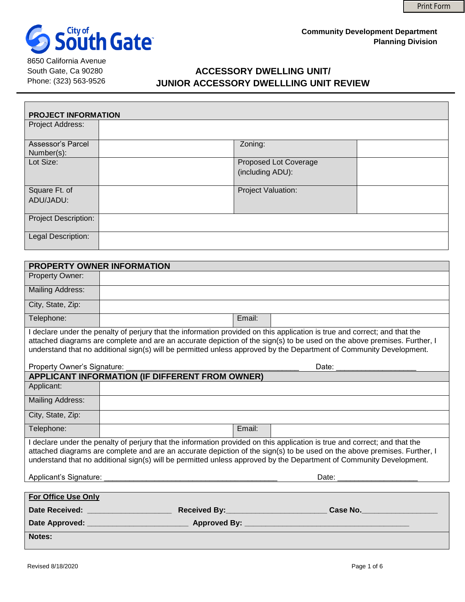

8650 California Avenue South Gate, Ca 90280 Phone: (323) 563-9526

# **ACCESSORY DWELLING UNIT/ JUNIOR ACCESSORY DWELLLING UNIT REVIEW**

| <b>PROJECT INFORMATION</b>      |                                           |  |  |
|---------------------------------|-------------------------------------------|--|--|
| Project Address:                |                                           |  |  |
| Assessor's Parcel<br>Number(s): | Zoning:                                   |  |  |
| Lot Size:                       | Proposed Lot Coverage<br>(including ADU): |  |  |
| Square Ft. of<br>ADU/JADU:      | Project Valuation:                        |  |  |
| Project Description:            |                                           |  |  |
| Legal Description:              |                                           |  |  |

| PROPERTY OWNER INFORMATION                                                                                                                                                                                                                                                                                                                                                    |                                                 |  |  |
|-------------------------------------------------------------------------------------------------------------------------------------------------------------------------------------------------------------------------------------------------------------------------------------------------------------------------------------------------------------------------------|-------------------------------------------------|--|--|
| Property Owner:                                                                                                                                                                                                                                                                                                                                                               |                                                 |  |  |
| <b>Mailing Address:</b>                                                                                                                                                                                                                                                                                                                                                       |                                                 |  |  |
| City, State, Zip:                                                                                                                                                                                                                                                                                                                                                             |                                                 |  |  |
| Telephone:                                                                                                                                                                                                                                                                                                                                                                    | Email:                                          |  |  |
| I declare under the penalty of perjury that the information provided on this application is true and correct; and that the<br>attached diagrams are complete and are an accurate depiction of the sign(s) to be used on the above premises. Further, I<br>understand that no additional sign(s) will be permitted unless approved by the Department of Community Development. |                                                 |  |  |
| Property Owner's Signature:                                                                                                                                                                                                                                                                                                                                                   | Date:                                           |  |  |
| APPLICANT INFORMATION (IF DIFFERENT FROM OWNER)                                                                                                                                                                                                                                                                                                                               |                                                 |  |  |
| Applicant:                                                                                                                                                                                                                                                                                                                                                                    |                                                 |  |  |
| <b>Mailing Address:</b>                                                                                                                                                                                                                                                                                                                                                       |                                                 |  |  |
| City, State, Zip:                                                                                                                                                                                                                                                                                                                                                             |                                                 |  |  |
| Telephone:                                                                                                                                                                                                                                                                                                                                                                    | Email:                                          |  |  |
| I declare under the penalty of perjury that the information provided on this application is true and correct; and that the<br>attached diagrams are complete and are an accurate depiction of the sign(s) to be used on the above premises. Further, I<br>understand that no additional sign(s) will be permitted unless approved by the Department of Community Development. |                                                 |  |  |
| Applicant's Signature:                                                                                                                                                                                                                                                                                                                                                        |                                                 |  |  |
| For Office Use Only                                                                                                                                                                                                                                                                                                                                                           |                                                 |  |  |
|                                                                                                                                                                                                                                                                                                                                                                               | Date Received: ____________________<br>Case No. |  |  |
|                                                                                                                                                                                                                                                                                                                                                                               |                                                 |  |  |
| <b>Notes:</b>                                                                                                                                                                                                                                                                                                                                                                 |                                                 |  |  |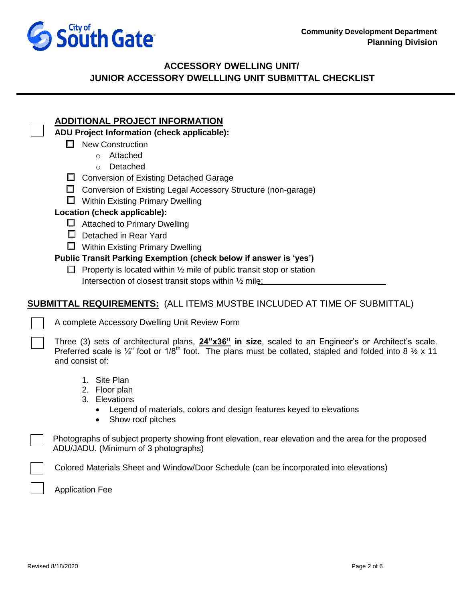

## **ACCESSORY DWELLING UNIT/ JUNIOR ACCESSORY DWELLLING UNIT SUBMITTAL CHECKLIST**

## **ADDITIONAL PROJECT INFORMATION**

#### **ADU Project Information (check applicable):**

- $\Box$  New Construction
	- o Attached
	- o Detached
- $\Box$  Conversion of Existing Detached Garage
- $\Box$  Conversion of Existing Legal Accessory Structure (non-garage)
- $\Box$  Within Existing Primary Dwelling

#### **Location (check applicable):**

- $\Box$  Attached to Primary Dwelling
- $\Box$  Detached in Rear Yard
- **U** Within Existing Primary Dwelling

### **Public Transit Parking Exemption (check below if answer is 'yes')**

 $\Box$  Property is located within  $\frac{1}{2}$  mile of public transit stop or station Intersection of closest transit stops within 1/2 mile:

## **SUBMITTAL REQUIREMENTS:** (ALL ITEMS MUSTBE INCLUDED AT TIME OF SUBMITTAL)

A complete Accessory Dwelling Unit Review Form

Three (3) sets of architectural plans, **24"x36" in size**, scaled to an Engineer's or Architect's scale. Preferred scale is  $\frac{1}{4}$ " foot or  $1/8$ <sup>th</sup> foot. The plans must be collated, stapled and folded into 8  $\frac{1}{2}$  x 11 and consist of:

- 1. Site Plan
- 2. Floor plan
- 3. Elevations
	- Legend of materials, colors and design features keyed to elevations
	- Show roof pitches

 Photographs of subject property showing front elevation, rear elevation and the area for the proposed ADU/JADU. (Minimum of 3 photographs)

Colored Materials Sheet and Window/Door Schedule (can be incorporated into elevations)

Application Fee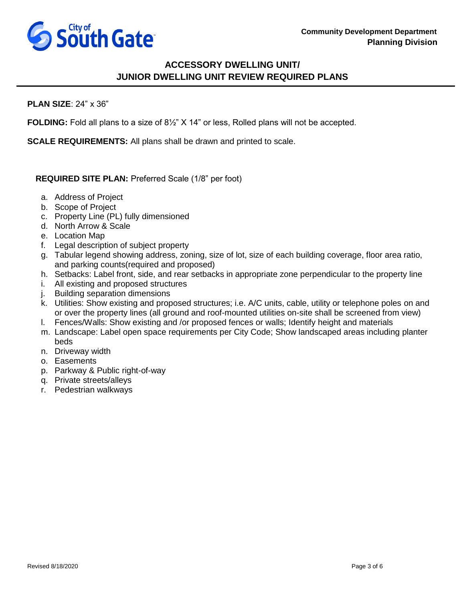

# **ACCESSORY DWELLING UNIT/ JUNIOR DWELLING UNIT REVIEW REQUIRED PLANS**

#### **PLAN SIZE**: 24" x 36"

**FOLDING:** Fold all plans to a size of 8½" X 14" or less, Rolled plans will not be accepted.

**SCALE REQUIREMENTS:** All plans shall be drawn and printed to scale.

**REQUIRED SITE PLAN:** Preferred Scale (1/8" per foot)

- a. Address of Project
- b. Scope of Project
- c. Property Line (PL) fully dimensioned
- d. North Arrow & Scale
- e. Location Map
- f. Legal description of subject property
- g. Tabular legend showing address, zoning, size of lot, size of each building coverage, floor area ratio, and parking counts(required and proposed)
- h. Setbacks: Label front, side, and rear setbacks in appropriate zone perpendicular to the property line
- i. All existing and proposed structures
- j. Building separation dimensions
- k. Utilities: Show existing and proposed structures; i.e. A/C units, cable, utility or telephone poles on and or over the property lines (all ground and roof-mounted utilities on-site shall be screened from view)
- l. Fences/Walls: Show existing and /or proposed fences or walls; Identify height and materials
- m. Landscape: Label open space requirements per City Code; Show landscaped areas including planter beds
- n. Driveway width
- o. Easements
- p. Parkway & Public right-of-way
- q. Private streets/alleys
- r. Pedestrian walkways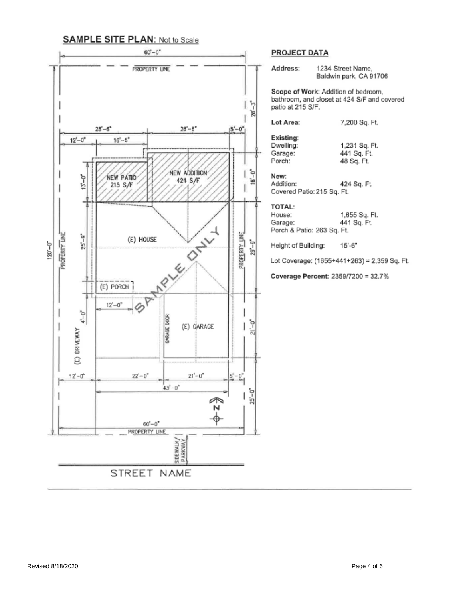# **SAMPLE SITE PLAN: Not to Scale**



#### **PROJECT DATA**

| Address:                                                                                                | 1234 Street Name,<br>Baldwin park, CA 91706  |  |  |
|---------------------------------------------------------------------------------------------------------|----------------------------------------------|--|--|
| Scope of Work: Addition of bedroom,<br>bathroom, and closet at 424 S/F and covered<br>patio at 215 S/F. |                                              |  |  |
| Lot Area:                                                                                               | 7,200 Sq. Ft.                                |  |  |
| Existing:<br>Dwelling:<br>Garage:<br>Porch:                                                             | 1,231 Sq. Ft.<br>441 Sq. Ft.<br>48 Sq. Ft.   |  |  |
| New:<br>Addition:<br>Covered Patio: 215 Sq. Ft.                                                         | 424 Sq. Ft.                                  |  |  |
| <b>TOTAL:</b><br>House:<br>Garage:<br>Porch & Patio: 263 Sq. Ft.                                        | 1.655 Sq. Ft.<br>441 Sq. Ft.                 |  |  |
| Height of Building: 15'-6"                                                                              |                                              |  |  |
|                                                                                                         | Lot Coverage: (1655+441+263) = 2,359 Sq. Ft. |  |  |
| Coverage Percent: 2359/7200 = 32.7%                                                                     |                                              |  |  |
|                                                                                                         |                                              |  |  |
|                                                                                                         |                                              |  |  |
|                                                                                                         |                                              |  |  |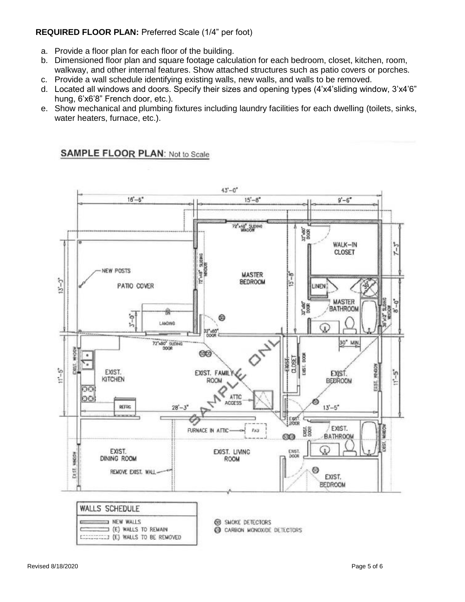#### **REQUIRED FLOOR PLAN:** Preferred Scale (1/4" per foot)

- a. Provide a floor plan for each floor of the building.
- b. Dimensioned floor plan and square footage calculation for each bedroom, closet, kitchen, room, walkway, and other internal features. Show attached structures such as patio covers or porches.
- c. Provide a wall schedule identifying existing walls, new walls, and walls to be removed.
- d. Located all windows and doors. Specify their sizes and opening types (4'x4'sliding window, 3'x4'6" hung, 6'x6'8" French door, etc.).
- e. Show mechanical and plumbing fixtures including laundry facilities for each dwelling (toilets, sinks, water heaters, furnace, etc.).

### **SAMPLE FLOOR PLAN: Not to Scale**